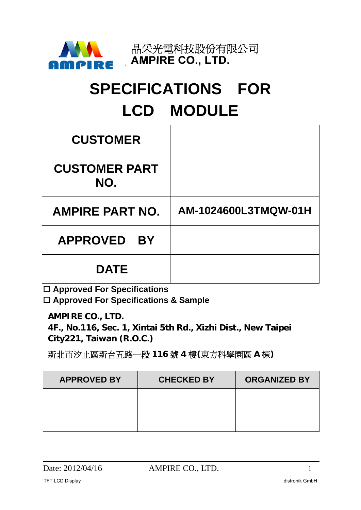

# **SPECIFICATIONS FOR LCD MODULE**

| <b>CUSTOMER</b>              |                      |
|------------------------------|----------------------|
| <b>CUSTOMER PART</b><br>NO.  |                      |
| <b>AMPIRE PART NO.</b>       | AM-1024600L3TMQW-01H |
| <b>APPROVED</b><br><b>BY</b> |                      |
| <b>DATE</b>                  |                      |

**Approved For Specifications**

**Approved For Specifications & Sample** 

**AMPIRE CO., LTD.** 

**4F., No.116, Sec. 1, Xintai 5th Rd., Xizhi Dist., New Taipei City221, Taiwan (R.O.C.)** 

新北市汐止區新台五路一段 **116** 號 **4** 樓**(**東方科學園區 **A** 棟**)** 

| <b>APPROVED BY</b> | <b>CHECKED BY</b> | <b>ORGANIZED BY</b> |
|--------------------|-------------------|---------------------|
|                    |                   |                     |
|                    |                   |                     |
|                    |                   |                     |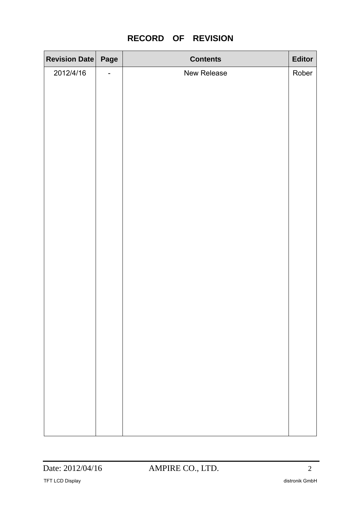| Revision Date Page |                          | <b>Contents</b> | Editor |
|--------------------|--------------------------|-----------------|--------|
| 2012/4/16          | $\overline{\phantom{0}}$ | New Release     | Rober  |
|                    |                          |                 |        |
|                    |                          |                 |        |
|                    |                          |                 |        |
|                    |                          |                 |        |
|                    |                          |                 |        |
|                    |                          |                 |        |
|                    |                          |                 |        |
|                    |                          |                 |        |
|                    |                          |                 |        |
|                    |                          |                 |        |
|                    |                          |                 |        |
|                    |                          |                 |        |
|                    |                          |                 |        |
|                    |                          |                 |        |
|                    |                          |                 |        |
|                    |                          |                 |        |
|                    |                          |                 |        |
|                    |                          |                 |        |
|                    |                          |                 |        |
|                    |                          |                 |        |
|                    |                          |                 |        |
|                    |                          |                 |        |
|                    |                          |                 |        |
|                    |                          |                 |        |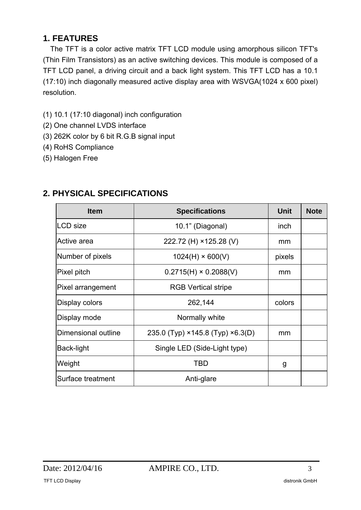### **1. FEATURES**

The TFT is a color active matrix TFT LCD module using amorphous silicon TFT's (Thin Film Transistors) as an active switching devices. This module is composed of a TFT LCD panel, a driving circuit and a back light system. This TFT LCD has a 10.1 (17:10) inch diagonally measured active display area with WSVGA(1024 x 600 pixel) resolution.

- (1) 10.1 (17:10 diagonal) inch configuration
- (2) One channel LVDS interface
- (3) 262K color by 6 bit R.G.B signal input
- (4) RoHS Compliance
- (5) Halogen Free

| <b>Item</b>         | <b>Specifications</b>                            | <b>Unit</b> | <b>Note</b> |
|---------------------|--------------------------------------------------|-------------|-------------|
| <b>LCD</b> size     | 10.1" (Diagonal)                                 | inch        |             |
| Active area         | 222.72 (H) ×125.28 (V)                           | mm          |             |
| Number of pixels    | $1024(H) \times 600(V)$                          | pixels      |             |
| Pixel pitch         | $0.2715(H) \times 0.2088(V)$                     | mm          |             |
| Pixel arrangement   | <b>RGB Vertical stripe</b>                       |             |             |
| Display colors      | 262,144                                          | colors      |             |
| Display mode        | Normally white                                   |             |             |
| Dimensional outline | 235.0 (Typ) $\times$ 145.8 (Typ) $\times$ 6.3(D) | mm          |             |
| Back-light          | Single LED (Side-Light type)                     |             |             |
| Weight              | TBD                                              | g           |             |
| Surface treatment   | Anti-glare                                       |             |             |

### **2. PHYSICAL SPECIFICATIONS**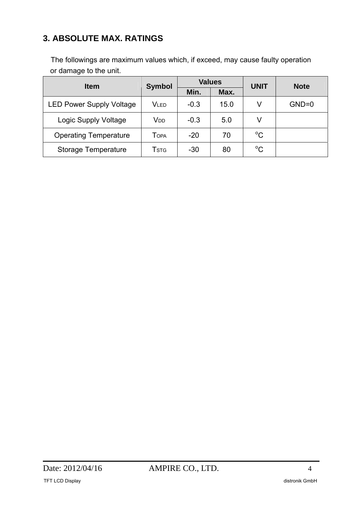### **3. ABSOLUTE MAX. RATINGS**

The followings are maximum values which, if exceed, may cause faulty operation or damage to the unit.

| <b>Item</b>                     | <b>Symbol</b>           |        | <b>Values</b> | <b>UNIT</b> | <b>Note</b> |  |
|---------------------------------|-------------------------|--------|---------------|-------------|-------------|--|
|                                 |                         | Min.   | Max.          |             |             |  |
| <b>LED Power Supply Voltage</b> | Vled                    | $-0.3$ | 15.0          | V           | $GND=0$     |  |
| Logic Supply Voltage            | V <sub>DD</sub>         | $-0.3$ | 5.0           | V           |             |  |
| <b>Operating Temperature</b>    | TOPA                    | $-20$  | 70            | $^{\circ}C$ |             |  |
| Storage Temperature             | <b>T</b> <sub>STG</sub> | $-30$  | 80            | $^{\circ}C$ |             |  |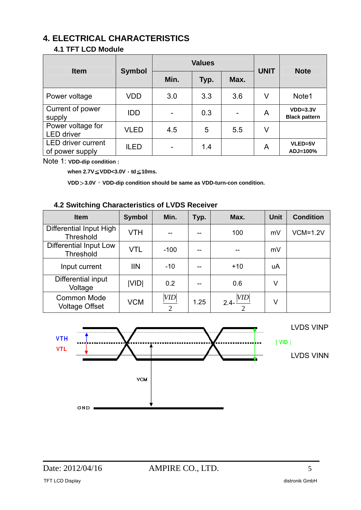### **4. ELECTRICAL CHARACTERISTICS**

#### **4.1 TFT LCD Module**

| <b>Item</b>                                  | <b>Symbol</b> |      | <b>Values</b> | <b>UNIT</b> | <b>Note</b> |                                    |
|----------------------------------------------|---------------|------|---------------|-------------|-------------|------------------------------------|
|                                              |               | Min. | Typ.          | Max.        |             |                                    |
| Power voltage                                | VDD           | 3.0  | 3.3           | 3.6         | V           | Note1                              |
| Current of power<br>supply                   | <b>IDD</b>    |      | 0.3           |             | A           | $VDD=3.3V$<br><b>Black pattern</b> |
| Power voltage for<br><b>LED</b> driver       | <b>VLED</b>   | 4.5  | 5             | 5.5         | V           |                                    |
| <b>LED driver current</b><br>of power supply | <b>ILED</b>   |      | 1.4           |             | A           | VLED=5V<br>ADJ=100%                |

Note 1: **VDD-dip condition :** 

**when 2.7V**≦**VDD<3.0V**,**td**≦**10ms.** 

**VDD**>**3.0V**,**VDD-dip condition should be same as VDD-turn-con condition.** 

#### **4.2 Switching Characteristics of LVDS Receiver**

| <b>Item</b>                                 | <b>Symbol</b> | Min.                  | Typ. | Max.           | <b>Unit</b> | <b>Condition</b> |
|---------------------------------------------|---------------|-----------------------|------|----------------|-------------|------------------|
| Differential Input High<br><b>Threshold</b> | <b>VTH</b>    |                       |      | 100            | mV          | $VCM=1.2V$       |
| Differential Input Low<br>Threshold         | <b>VTL</b>    | $-100$                |      |                | mV          |                  |
| Input current                               | III           | $-10$                 |      | $+10$          | uA          |                  |
| Differential input<br>Voltage               | VID           | 0.2                   |      | 0.6            | V           |                  |
| <b>Common Mode</b><br><b>Voltage Offset</b> | <b>VCM</b>    | VID<br>$\overline{2}$ | 1.25 | VID<br>$2.4 -$ | ٧           |                  |

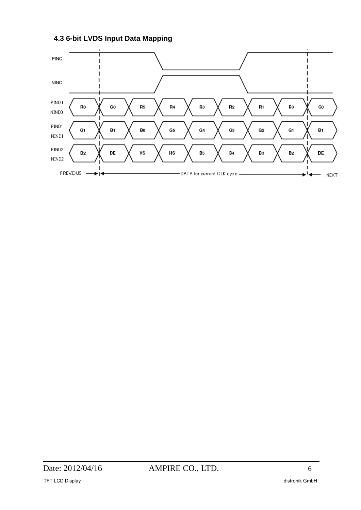**4.3 6-bit LVDS Input Data Mapping** 

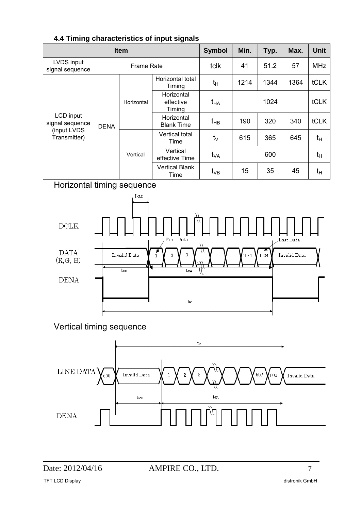|                               | <b>Item</b> |                        |                                   |                 | Min. | Typ. | Max.    | <b>Unit</b> |
|-------------------------------|-------------|------------------------|-----------------------------------|-----------------|------|------|---------|-------------|
| LVDS input<br>signal sequence |             | <b>Frame Rate</b>      |                                   | tclk            | 41   | 51.2 | 57      | <b>MHz</b>  |
|                               |             |                        | Horizontal total<br>Timing        | tн              | 1214 | 1344 | 1364    | tCLK        |
|                               |             | Horizontal             | Horizontal<br>effective<br>Timing | t <sub>HA</sub> | 1024 |      |         | tCLK        |
| LCD input<br>signal sequence  | <b>DENA</b> |                        | Horizontal<br><b>Blank Time</b>   | t <sub>HB</sub> | 190  | 320  | 340     | tCLK        |
| (input LVDS<br>Transmitter)   |             | Vertical total<br>Time | $t_{\vee}$                        | 615             | 365  | 645  | $t_{H}$ |             |
|                               |             | Vertical               | Vertical<br>effective Time        | t <sub>VA</sub> |      | 600  |         | $t_{H}$     |
|                               |             |                        | <b>Vertical Blank</b><br>Time     | $t_{VB}$        | 15   | 35   | 45      | tн          |

#### **4.4 Timing characteristics of input signals**

Horizontal timing sequence



Vertical timing sequence

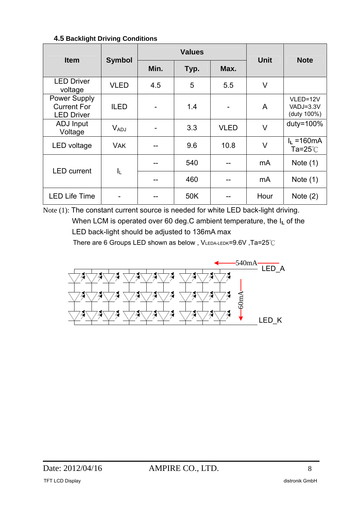#### **4.5 Backlight Driving Conditions**

| <b>Item</b>                                                    |                  |      | <b>Values</b> | <b>Unit</b> | <b>Note</b> |                                             |
|----------------------------------------------------------------|------------------|------|---------------|-------------|-------------|---------------------------------------------|
|                                                                | <b>Symbol</b>    | Min. | Typ.          | Max.        |             |                                             |
| <b>LED Driver</b><br>voltage                                   | <b>VLED</b>      | 4.5  | 5             | 5.5         | V           |                                             |
| <b>Power Supply</b><br><b>Current For</b><br><b>LED Driver</b> | <b>ILED</b>      |      | 1.4           |             | A           | VLED=12V<br>VADJ=3.3V<br>(duty 100%)        |
| ADJ Input<br>Voltage                                           | $V_{ADJ}$        |      | 3.3           | <b>VLED</b> | V           | duty=100%                                   |
| LED voltage                                                    | <b>VAK</b>       |      | 9.6           | 10.8        | V           | $I_L = 160 \text{mA}$<br>Ta= $25^{\circ}$ C |
| <b>LED</b> current                                             |                  |      | 540           |             | mA          | Note $(1)$                                  |
|                                                                | $I_{\mathsf{L}}$ |      | 460           |             | mA          | Note $(1)$                                  |
| <b>LED Life Time</b>                                           |                  |      | 50K           |             | Hour        | Note $(2)$                                  |

Note (1): The constant current source is needed for white LED back-light driving. When LCM is operated over 60 deg.C ambient temperature, the I<sub>L</sub> of the LED back-light should be adjusted to 136mA max

There are 6 Groups LED shown as below , VLEDA-LEDK=9.6V ,Ta=25℃

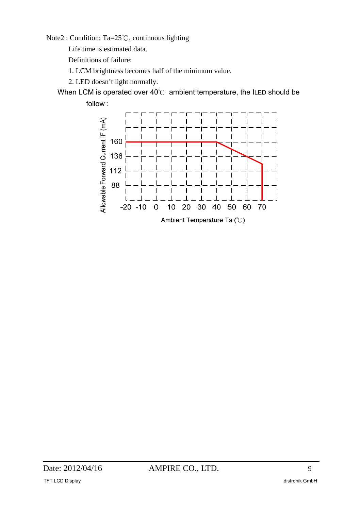Note2 : Condition: Ta=25℃, continuous lighting

Life time is estimated data.

Definitions of failure:

1. LCM brightness becomes half of the minimum value.

2. LED doesn't light normally.

When LCM is operated over 40℃ ambient temperature, the ILED should be follow :

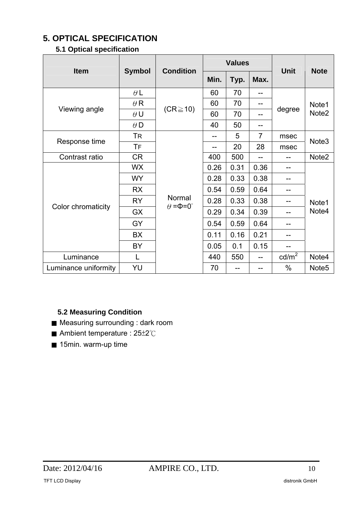### **5. OPTICAL SPECIFICATION**

### **5.1 Optical specification**

| <b>Item</b>          |               | <b>Condition</b>                      |      | <b>Values</b> |                | <b>Unit</b>     | <b>Note</b>       |
|----------------------|---------------|---------------------------------------|------|---------------|----------------|-----------------|-------------------|
|                      | <b>Symbol</b> |                                       | Min. | Typ.          | Max.           |                 |                   |
|                      | $\theta L$    |                                       | 60   | 70            | --             |                 |                   |
| Viewing angle        | $\theta$ R    |                                       | 60   | 70            |                |                 | Note1             |
|                      | $\theta$ U    | $(CR \ge 10)$                         | 60   | 70            | --             | degree          | Note <sub>2</sub> |
|                      | $\theta$ D    |                                       | 40   | 50            | --             |                 |                   |
| Response time        | TR            |                                       |      | 5             | $\overline{7}$ | msec            | Note <sub>3</sub> |
|                      | TF            |                                       |      | 20            | 28             | msec            |                   |
| Contrast ratio       | <b>CR</b>     |                                       | 400  | 500           | --             | --              | Note2             |
|                      | <b>WX</b>     |                                       | 0.26 | 0.31          | 0.36           | --              |                   |
|                      | <b>WY</b>     |                                       | 0.28 | 0.33          | 0.38           | --              |                   |
|                      | <b>RX</b>     |                                       | 0.54 | 0.59          | 0.64           | --              |                   |
|                      | <b>RY</b>     | Normal<br>$\theta = \Phi = 0^{\circ}$ | 0.28 | 0.33          | 0.38           |                 | Note1             |
| Color chromaticity   | <b>GX</b>     |                                       | 0.29 | 0.34          | 0.39           | --              | Note4             |
|                      | GY            |                                       | 0.54 | 0.59          | 0.64           | --              |                   |
|                      | BX            |                                       | 0.11 | 0.16          | 0.21           |                 |                   |
|                      | BY            |                                       | 0.05 | 0.1           | 0.15           |                 |                   |
| Luminance            |               |                                       | 440  | 550           |                | $\text{cd/m}^2$ | Note4             |
| Luminance uniformity | YU            |                                       | 70   |               |                | $\%$            | Note <sub>5</sub> |

#### **5.2 Measuring Condition**

- Measuring surrounding : dark room
- Ambient temperature : 25±2℃
- 15min. warm-up time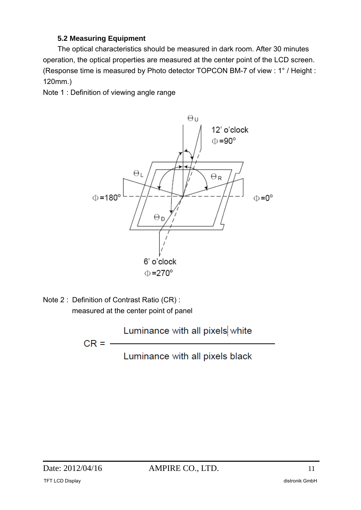#### **5.2 Measuring Equipment**

The optical characteristics should be measured in dark room. After 30 minutes operation, the optical properties are measured at the center point of the LCD screen. (Response time is measured by Photo detector TOPCON BM-7 of view : 1° / Height : 120mm.)

Note 1 : Definition of viewing angle range



Note 2 : Definition of Contrast Ratio (CR) : measured at the center point of panel

 $CR = -$ 

Luminance with all pixels black

Luminance with all pixels white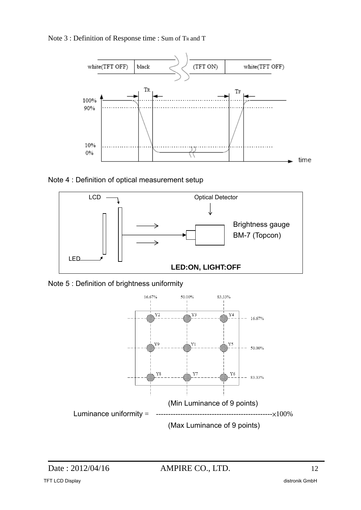Note 3 : Definition of Response time : Sum of TR and T



Note 4 : Definition of optical measurement setup



Note 5 : Definition of brightness uniformity

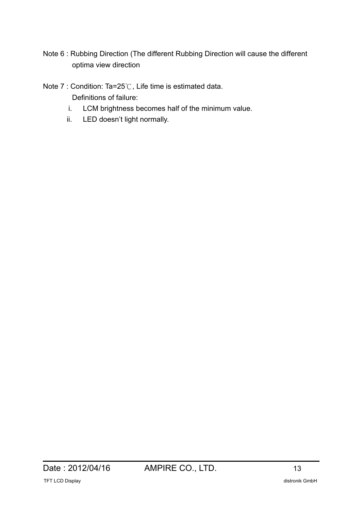Note 6 : Rubbing Direction (The different Rubbing Direction will cause the different optima view direction

Note 7 : Condition: Ta=25℃, Life time is estimated data.

Definitions of failure:

- i. LCM brightness becomes half of the minimum value.
- ii. LED doesn't light normally.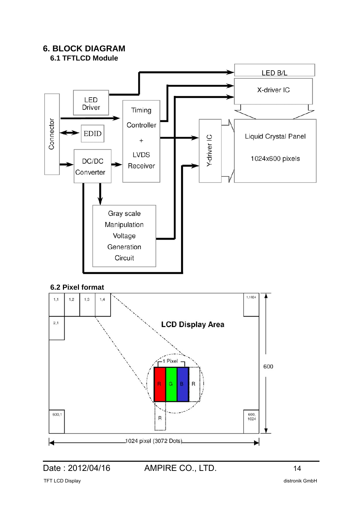

 $\overline{R}$ 

1024 pixel (3072 Dots).

 $\blacksquare$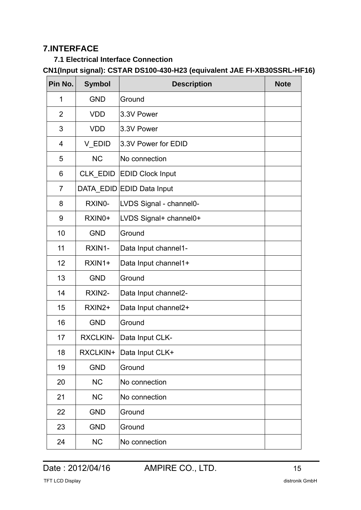### **7.INTERFACE**

#### **7.1 Electrical Interface Connection**

### **CN1(Input signal): CSTAR DS100-430-H23 (equivalent JAE FI-XB30SSRL-HF16)**

| Pin No.        | <b>Symbol</b>   | <b>Description</b>        | <b>Note</b> |
|----------------|-----------------|---------------------------|-------------|
| 1              | <b>GND</b>      | Ground                    |             |
| $\overline{2}$ | <b>VDD</b>      | 3.3V Power                |             |
| 3              | <b>VDD</b>      | 3.3V Power                |             |
| 4              | V_EDID          | 3.3V Power for EDID       |             |
| 5              | <b>NC</b>       | No connection             |             |
| 6              | CLK_EDID        | <b>EDID Clock Input</b>   |             |
| $\overline{7}$ |                 | DATA_EDID EDID Data Input |             |
| 8              | RXINO-          | LVDS Signal - channel0-   |             |
| 9              | RXIN0+          | LVDS Signal+ channel0+    |             |
| 10             | <b>GND</b>      | Ground                    |             |
| 11             | RXIN1-          | Data Input channel1-      |             |
| 12             | RXIN1+          | Data Input channel1+      |             |
| 13             | <b>GND</b>      | Ground                    |             |
| 14             | RXIN2-          | Data Input channel2-      |             |
| 15             | RXIN2+          | Data Input channel2+      |             |
| 16             | <b>GND</b>      | Ground                    |             |
| 17             | <b>RXCLKIN-</b> | Data Input CLK-           |             |
| 18             | RXCLKIN+        | Data Input CLK+           |             |
| 19             | <b>GND</b>      | Ground                    |             |
| 20             | <b>NC</b>       | No connection             |             |
| 21             | <b>NC</b>       | No connection             |             |
| 22             | <b>GND</b>      | Ground                    |             |
| 23             | <b>GND</b>      | Ground                    |             |
| 24             | <b>NC</b>       | No connection             |             |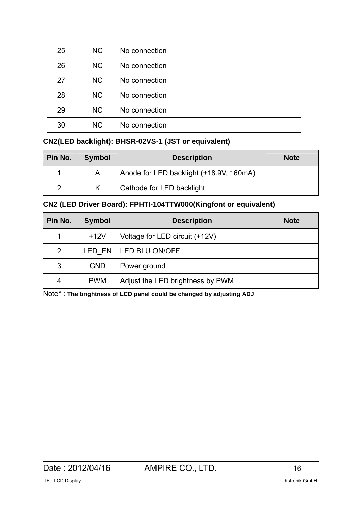| 25 | <b>NC</b> | No connection        |  |
|----|-----------|----------------------|--|
| 26 | <b>NC</b> | <b>No connection</b> |  |
| 27 | <b>NC</b> | No connection        |  |
| 28 | <b>NC</b> | No connection        |  |
| 29 | <b>NC</b> | No connection        |  |
| 30 | <b>NC</b> | <b>No connection</b> |  |

#### **CN2(LED backlight): BHSR-02VS-1 (JST or equivalent)**

| Pin No. | <b>Symbol</b> | <b>Description</b>                      | <b>Note</b> |
|---------|---------------|-----------------------------------------|-------------|
|         | A             | Anode for LED backlight (+18.9V, 160mA) |             |
| 2       |               | Cathode for LED backlight               |             |

**CN2 (LED Driver Board): FPHTI-104TTW000(Kingfont or equivalent)** 

| Pin No.        | <b>Symbol</b> | <b>Description</b>               | <b>Note</b> |
|----------------|---------------|----------------------------------|-------------|
| 1              | $+12V$        | Voltage for LED circuit (+12V)   |             |
| $\overline{2}$ | LED EN        | <b>LED BLU ON/OFF</b>            |             |
| 3              | <b>GND</b>    | Power ground                     |             |
| 4              | <b>PWM</b>    | Adjust the LED brightness by PWM |             |

Note\* : **The brightness of LCD panel could be changed by adjusting ADJ**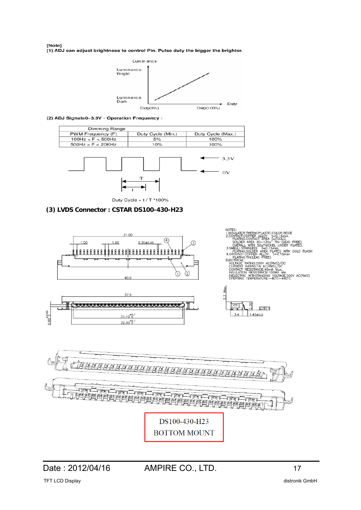#### [Note] (1) ADJ can adjust brightness to control Pin. Pulse duty the bigger the brighter.



(2) ADJ Signal=0~3.3V · Operation Frequency :





Duty Cycle =  $t / T$  \*100%

#### **(3) LVDS Connector : CSTAR DS100-430-H23**

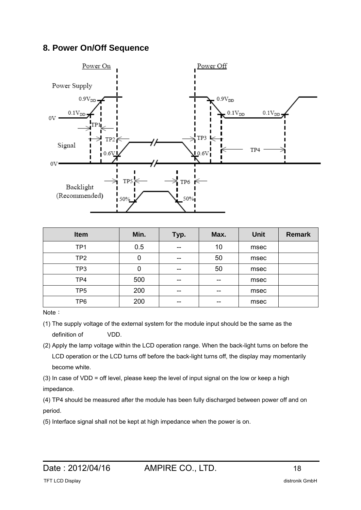### **8. Power On/Off Sequence**



| <b>Item</b>     | Min. | Typ.  | Max. | <b>Unit</b> | <b>Remark</b> |
|-----------------|------|-------|------|-------------|---------------|
| TP <sub>1</sub> | 0.5  | $- -$ | 10   | msec        |               |
| TP <sub>2</sub> | 0    | --    | 50   | msec        |               |
| TP3             | 0    | $- -$ | 50   | msec        |               |
| TP4             | 500  | --    | --   | msec        |               |
| TP <sub>5</sub> | 200  | --    | --   | msec        |               |
| TP <sub>6</sub> | 200  | --    | --   | msec        |               |

Note:

- (1) The supply voltage of the external system for the module input should be the same as the definition of VDD.
- (2) Apply the lamp voltage within the LCD operation range. When the back-light turns on before the LCD operation or the LCD turns off before the back-light turns off, the display may momentarily become white.

(3) In case of VDD = off level, please keep the level of input signal on the low or keep a high impedance.

(4) TP4 should be measured after the module has been fully discharged between power off and on period.

(5) Interface signal shall not be kept at high impedance when the power is on.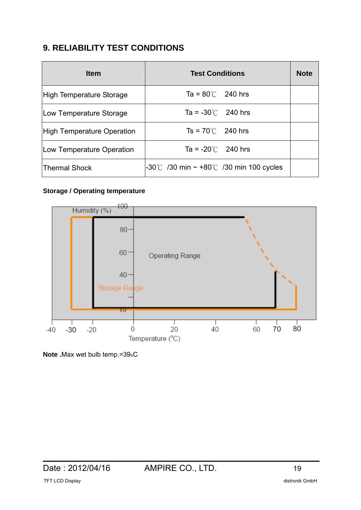## **9. RELIABILITY TEST CONDITIONS**

| <b>Item</b>                | <b>Test Conditions</b>                                         | <b>Note</b> |
|----------------------------|----------------------------------------------------------------|-------------|
| High Temperature Storage   | Ta = $80^{\circ}$ 240 hrs                                      |             |
| Low Temperature Storage    | Ta = $-30^{\circ}$ 240 hrs                                     |             |
| High Temperature Operation | $Ts = 70^{\circ}$ 240 hrs                                      |             |
| Low Temperature Operation  | Ta = $-20^{\circ}$ 240 hrs                                     |             |
| <b>Thermal Shock</b>       | $-30^{\circ}$ /30 min $\sim$ +80 $^{\circ}$ /30 min 100 cycles |             |

#### **Storage / Operating temperature**



**Note .**Max wet bulb temp.=39oC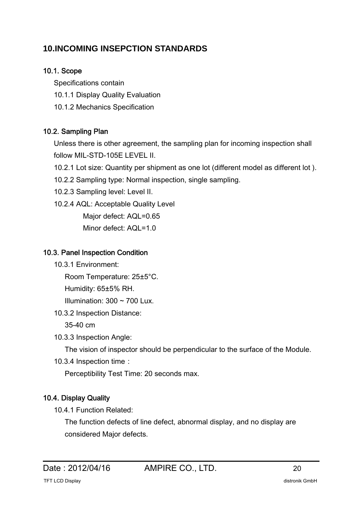### **10.INCOMING INSEPCTION STANDARDS**

#### 10.1. Scope

Specifications contain

- 10.1.1 Display Quality Evaluation
- 10.1.2 Mechanics Specification

### 10.2. Sampling Plan

Unless there is other agreement, the sampling plan for incoming inspection shall follow MIL-STD-105E LEVEL II.

10.2.1 Lot size: Quantity per shipment as one lot (different model as different lot ).

- 10.2.2 Sampling type: Normal inspection, single sampling.
- 10.2.3 Sampling level: Level II.

10.2.4 AQL: Acceptable Quality Level

Major defect: AQL=0.65

Minor defect: AQL=1.0

#### 10.3. Panel Inspection Condition

10.3.1 Environment:

Room Temperature: 25±5°C.

Humidity: 65±5% RH.

Illumination:  $300 \sim 700$  Lux.

10.3.2 Inspection Distance:

35-40 cm

10.3.3 Inspection Angle:

The vision of inspector should be perpendicular to the surface of the Module.

10.3.4 Inspection time:

Perceptibility Test Time: 20 seconds max.

### 10.4. Display Quality

10.4.1 Function Related:

The function defects of line defect, abnormal display, and no display are considered Major defects.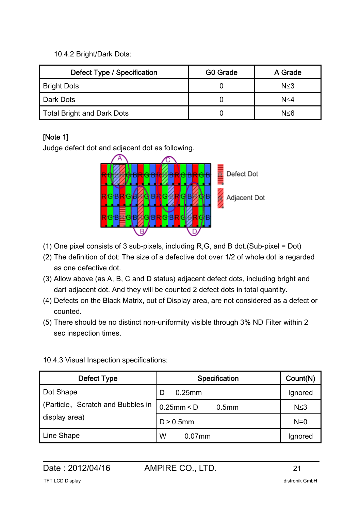10.4.2 Bright/Dark Dots:

| Defect Type / Specification | G0 Grade | A Grade    |  |
|-----------------------------|----------|------------|--|
| <b>Bright Dots</b>          |          | $N \leq 3$ |  |
| Dark Dots                   |          | N≤4        |  |
| Total Bright and Dark Dots  |          | N<6        |  |

### [Note 1]

Judge defect dot and adjacent dot as following.



- (1) One pixel consists of 3 sub-pixels, including R,G, and B dot.(Sub-pixel = Dot)
- (2) The definition of dot: The size of a defective dot over 1/2 of whole dot is regarded as one defective dot.
- (3) Allow above (as A, B, C and D status) adjacent defect dots, including bright and dart adjacent dot. And they will be counted 2 defect dots in total quantity.
- (4) Defects on the Black Matrix, out of Display area, are not considered as a defect or counted.
- (5) There should be no distinct non-uniformity visible through 3% ND Filter within 2 sec inspection times.

| Defect Type                       | <b>Specification</b>               | Count(N)   |
|-----------------------------------|------------------------------------|------------|
| Dot Shape                         | D<br>$0.25$ mm                     | Ignored    |
| (Particle, Scratch and Bubbles in | $0.25$ mm < D<br>0.5 <sub>mm</sub> | $N \leq 3$ |
| display area)                     | $D > 0.5$ mm                       | $N=0$      |
| Line Shape                        | W<br>$0.07$ mm                     | Ignored    |

### 10.4.3 Visual Inspection specifications: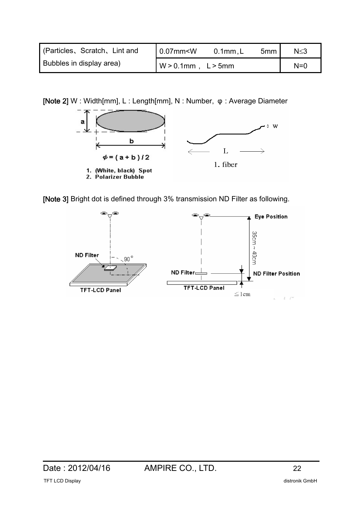| (Particles, Scratch, Lint and | $0.07$ mm $\leq W$       | 0.1mm, L | 5mm | $N \leq 3$ |
|-------------------------------|--------------------------|----------|-----|------------|
| Bubbles in display area)      | $W > 0.1$ mm, $L > 5$ mm |          |     | $N=0$      |

[Note 2] W : Width[mm], L : Length[mm], N : Number, φ : Average Diameter





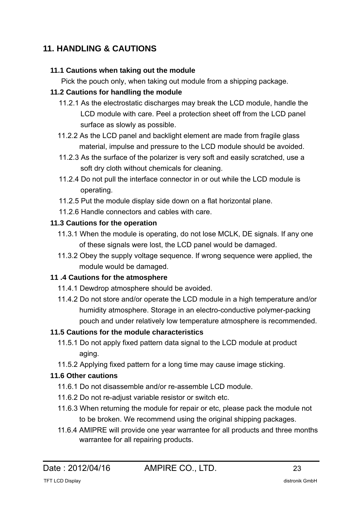## **11. HANDLING & CAUTIONS**

#### **11.1 Cautions when taking out the module**

Pick the pouch only, when taking out module from a shipping package.

### **11.2 Cautions for handling the module**

- 11.2.1 As the electrostatic discharges may break the LCD module, handle the LCD module with care. Peel a protection sheet off from the LCD panel surface as slowly as possible.
- 11.2.2 As the LCD panel and backlight element are made from fragile glass material, impulse and pressure to the LCD module should be avoided.
- 11.2.3 As the surface of the polarizer is very soft and easily scratched, use a soft dry cloth without chemicals for cleaning.
- 11.2.4 Do not pull the interface connector in or out while the LCD module is operating.
- 11.2.5 Put the module display side down on a flat horizontal plane.
- 11.2.6 Handle connectors and cables with care.

### **11.3 Cautions for the operation**

- 11.3.1 When the module is operating, do not lose MCLK, DE signals. If any one of these signals were lost, the LCD panel would be damaged.
- 11.3.2 Obey the supply voltage sequence. If wrong sequence were applied, the module would be damaged.

### **11 .4 Cautions for the atmosphere**

- 11.4.1 Dewdrop atmosphere should be avoided.
- 11.4.2 Do not store and/or operate the LCD module in a high temperature and/or humidity atmosphere. Storage in an electro-conductive polymer-packing pouch and under relatively low temperature atmosphere is recommended.

### **11.5 Cautions for the module characteristics**

- 11.5.1 Do not apply fixed pattern data signal to the LCD module at product aging.
- 11.5.2 Applying fixed pattern for a long time may cause image sticking.

### **11.6 Other cautions**

- 11.6.1 Do not disassemble and/or re-assemble LCD module.
- 11.6.2 Do not re-adjust variable resistor or switch etc.
- 11.6.3 When returning the module for repair or etc, please pack the module not to be broken. We recommend using the original shipping packages.
- 11.6.4 AMIPRE will provide one year warrantee for all products and three months warrantee for all repairing products.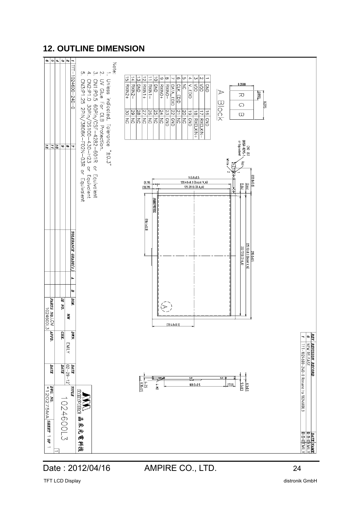### **12. OUTLINE DIMENSION**



Date : 2012/04/16 AMPIRE CO., LTD. 24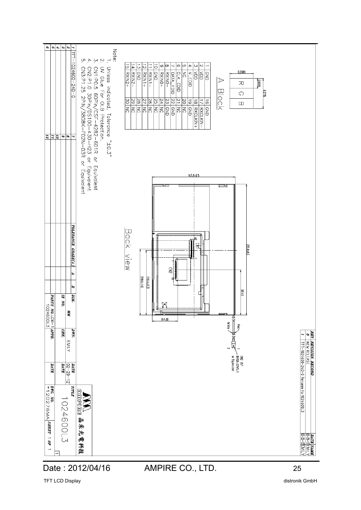